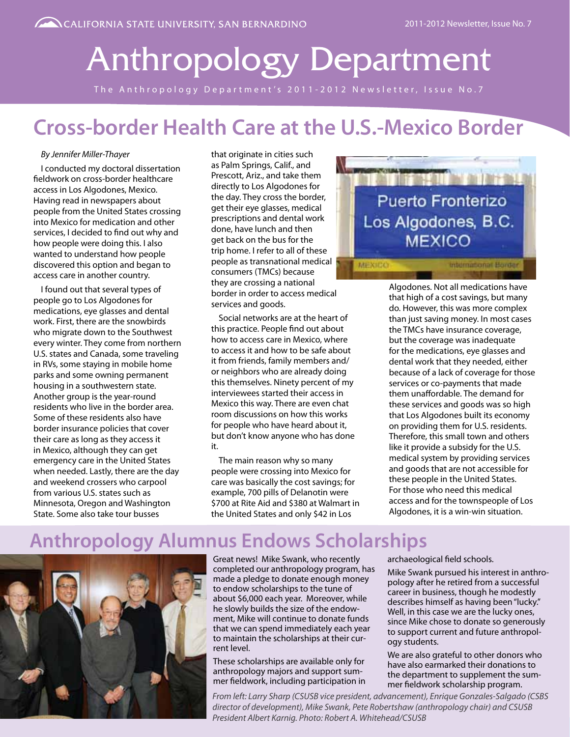# Anthropology Department

The Anthropology Department's 2011-2012 Newsletter, Issue No.7

### **Cross-border Health Care at the U.S.-Mexico Border**

#### *By Jennifer Miller-Thayer*

I conducted my doctoral dissertation fieldwork on cross-border healthcare access in Los Algodones, Mexico. Having read in newspapers about people from the United States crossing into Mexico for medication and other services, I decided to find out why and how people were doing this. I also wanted to understand how people discovered this option and began to access care in another country.

I found out that several types of people go to Los Algodones for medications, eye glasses and dental work. First, there are the snowbirds who migrate down to the Southwest every winter. They come from northern U.S. states and Canada, some traveling in RVs, some staying in mobile home parks and some owning permanent housing in a southwestern state. Another group is the year-round residents who live in the border area. Some of these residents also have border insurance policies that cover their care as long as they access it in Mexico, although they can get emergency care in the United States when needed. Lastly, there are the day and weekend crossers who carpool from various U.S. states such as Minnesota, Oregon and Washington State. Some also take tour busses

that originate in cities such as Palm Springs, Calif., and Prescott, Ariz., and take them directly to Los Algodones for the day. They cross the border, get their eye glasses, medical prescriptions and dental work done, have lunch and then get back on the bus for the trip home. I refer to all of these people as transnational medical consumers (TMCs) because they are crossing a national border in order to access medical services and goods.

Social networks are at the heart of this practice. People find out about how to access care in Mexico, where to access it and how to be safe about it from friends, family members and/ or neighbors who are already doing this themselves. Ninety percent of my interviewees started their access in Mexico this way. There are even chat room discussions on how this works for people who have heard about it, but don't know anyone who has done it.

The main reason why so many people were crossing into Mexico for care was basically the cost savings; for example, 700 pills of Delanotin were \$700 at Rite Aid and \$380 at Walmart in the United States and only \$42 in Los



Algodones. Not all medications have that high of a cost savings, but many do. However, this was more complex than just saving money. In most cases the TMCs have insurance coverage, but the coverage was inadequate for the medications, eye glasses and dental work that they needed, either because of a lack of coverage for those services or co-payments that made them unaffordable. The demand for these services and goods was so high that Los Algodones built its economy on providing them for U.S. residents. Therefore, this small town and others like it provide a subsidy for the U.S. medical system by providing services and goods that are not accessible for these people in the United States. For those who need this medical access and for the townspeople of Los Algodones, it is a win-win situation.

### **Anthropology Alumnus Endows Scholarships**



Great news! Mike Swank, who recently completed our anthropology program, has made a pledge to donate enough money to endow scholarships to the tune of about \$6,000 each year. Moreover, while he slowly builds the size of the endowment, Mike will continue to donate funds that we can spend immediately each year to maintain the scholarships at their current level.

These scholarships are available only for anthropology majors and support summer fieldwork, including participation in archaeological field schools.

Mike Swank pursued his interest in anthropology after he retired from a successful career in business, though he modestly describes himself as having been "lucky." Well, in this case we are the lucky ones, since Mike chose to donate so generously to support current and future anthropology students.

We are also grateful to other donors who have also earmarked their donations to the department to supplement the summer fieldwork scholarship program.

*From left: Larry Sharp (CSUSB vice president, advancement), Enrique Gonzales-Salgado (CSBS director of development), Mike Swank, Pete Robertshaw (anthropology chair) and CSUSB President Albert Karnig. Photo: Robert A. Whitehead/CSUSB*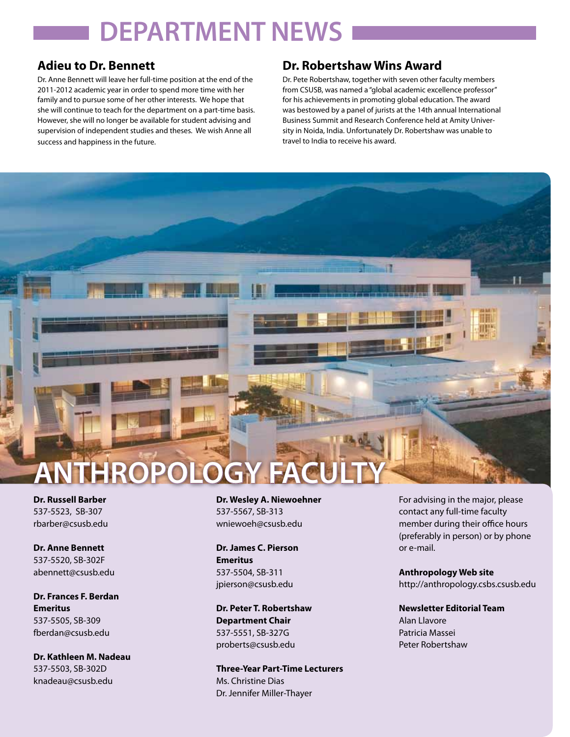# **DEPARTMENT NEWS**

### **Adieu to Dr. Bennett**

Dr. Anne Bennett will leave her full-time position at the end of the 2011-2012 academic year in order to spend more time with her family and to pursue some of her other interests. We hope that she will continue to teach for the department on a part-time basis. However, she will no longer be available for student advising and supervision of independent studies and theses. We wish Anne all success and happiness in the future.

### **Dr. Robertshaw Wins Award**

Dr. Pete Robertshaw, together with seven other faculty members from CSUSB, was named a "global academic excellence professor" for his achievements in promoting global education. The award was bestowed by a panel of jurists at the 14th annual International Business Summit and Research Conference held at Amity University in Noida, India. Unfortunately Dr. Robertshaw was unable to travel to India to receive his award.

- 7

# **HROPOLOGY**

**Dr. Russell Barber** 537-5523, SB-307 rbarber@csusb.edu

**Dr. Anne Bennett** 537-5520, SB-302F abennett@csusb.edu

**Dr. Frances F. Berdan Emeritus** 537-5505, SB-309 fberdan@csusb.edu

**Dr. Kathleen M. Nadeau** 537-5503, SB-302D knadeau@csusb.edu

**Dr. Wesley A. Niewoehner** 537-5567, SB-313 wniewoeh@csusb.edu

**Dr. James C. Pierson Emeritus** 537-5504, SB-311 jpierson@csusb.edu

**Dr. Peter T. Robertshaw Department Chair** 537-5551, SB-327G proberts@csusb.edu

**Three-Year Part-Time Lecturers** Ms. Christine Dias Dr. Jennifer Miller-Thayer

For advising in the major, please contact any full-time faculty member during their office hours (preferably in person) or by phone or e-mail.

**Anthropology Web site** http://anthropology.csbs.csusb.edu

**Newsletter Editorial Team** Alan Llavore Patricia Massei Peter Robertshaw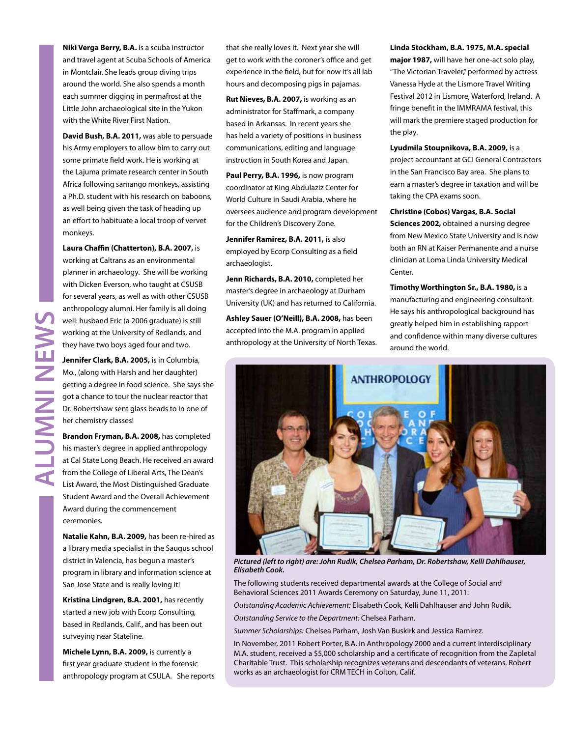**Niki Verga Berry, B.A.** is a scuba instructor and travel agent at Scuba Schools of America in Montclair. She leads group diving trips around the world. She also spends a month each summer digging in permafrost at the Little John archaeological site in the Yukon with the White River First Nation.

**David Bush, B.A. 2011,** was able to persuade his Army employers to allow him to carry out some primate field work. He is working at the Lajuma primate research center in South Africa following samango monkeys, assisting a Ph.D. student with his research on baboons, as well being given the task of heading up an effort to habituate a local troop of vervet monkeys.

**Laura Chaffin (Chatterton), B.A. 2007,** is working at Caltrans as an environmental planner in archaeology. She will be working with Dicken Everson, who taught at CSUSB for several years, as well as with other CSUSB anthropology alumni. Her family is all doing well: husband Eric (a 2006 graduate) is still working at the University of Redlands, and they have two boys aged four and two.

**Jennifer Clark, B.A. 2005,** is in Columbia, Mo., (along with Harsh and her daughter) getting a degree in food science. She says she got a chance to tour the nuclear reactor that Dr. Robertshaw sent glass beads to in one of her chemistry classes!

**Brandon Fryman, B.A. 2008,** has completed his master's degree in applied anthropology at Cal State Long Beach. He received an award from the College of Liberal Arts, The Dean's List Award, the Most Distinguished Graduate Student Award and the Overall Achievement Award during the commencement ceremonies.

**Natalie Kahn, B.A. 2009,** has been re-hired as a library media specialist in the Saugus school district in Valencia, has begun a master's program in library and information science at San Jose State and is really loving it!

**Kristina Lindgren, B.A. 2001,** has recently started a new job with Ecorp Consulting, based in Redlands, Calif., and has been out surveying near Stateline.

**Michele Lynn, B.A. 2009,** is currently a first year graduate student in the forensic anthropology program at CSULA. She reports that she really loves it. Next year she will get to work with the coroner's office and get experience in the field, but for now it's all lab hours and decomposing pigs in pajamas.

**Rut Nieves, B.A. 2007,** is working as an administrator for Staffmark, a company based in Arkansas. In recent years she has held a variety of positions in business communications, editing and language instruction in South Korea and Japan.

**Paul Perry, B.A. 1996,** is now program coordinator at King Abdulaziz Center for World Culture in Saudi Arabia, where he oversees audience and program development for the Children's Discovery Zone.

**Jennifer Ramirez, B.A. 2011,** is also employed by Ecorp Consulting as a field archaeologist.

**Jenn Richards, B.A. 2010,** completed her master's degree in archaeology at Durham University (UK) and has returned to California.

**Ashley Sauer (O'Neill), B.A. 2008,** has been accepted into the M.A. program in applied anthropology at the University of North Texas. **Linda Stockham, B.A. 1975, M.A. special major 1987,** will have her one-act solo play, "The Victorian Traveler," performed by actress Vanessa Hyde at the Lismore Travel Writing Festival 2012 in Lismore, Waterford, Ireland. A fringe benefit in the IMMRAMA festival, this will mark the premiere staged production for the play.

**Lyudmila Stoupnikova, B.A. 2009,** is a project accountant at GCI General Contractors in the San Francisco Bay area. She plans to earn a master's degree in taxation and will be taking the CPA exams soon.

**Christine (Cobos) Vargas, B.A. Social Sciences 2002,** obtained a nursing degree from New Mexico State University and is now both an RN at Kaiser Permanente and a nurse clinician at Loma Linda University Medical Center.

**Timothy Worthington Sr., B.A. 1980,** is a manufacturing and engineering consultant. He says his anthropological background has greatly helped him in establishing rapport and confidence within many diverse cultures around the world.



*Pictured (left to right) are: John Rudik, Chelsea Parham, Dr. Robertshaw, Kelli Dahlhauser, Elisabeth Cook.*

The following students received departmental awards at the College of Social and Behavioral Sciences 2011 Awards Ceremony on Saturday, June 11, 2011:

*Outstanding Academic Achievement:* Elisabeth Cook, Kelli Dahlhauser and John Rudik.

*Outstanding Service to the Department:* Chelsea Parham.

*Summer Scholarships:* Chelsea Parham, Josh Van Buskirk and Jessica Ramirez.

In November, 2011 Robert Porter, B.A. in Anthropology 2000 and a current interdisciplinary M.A. student, received a \$5,000 scholarship and a certificate of recognition from the Zapletal Charitable Trust. This scholarship recognizes veterans and descendants of veterans. Robert works as an archaeologist for CRM TECH in Colton, Calif.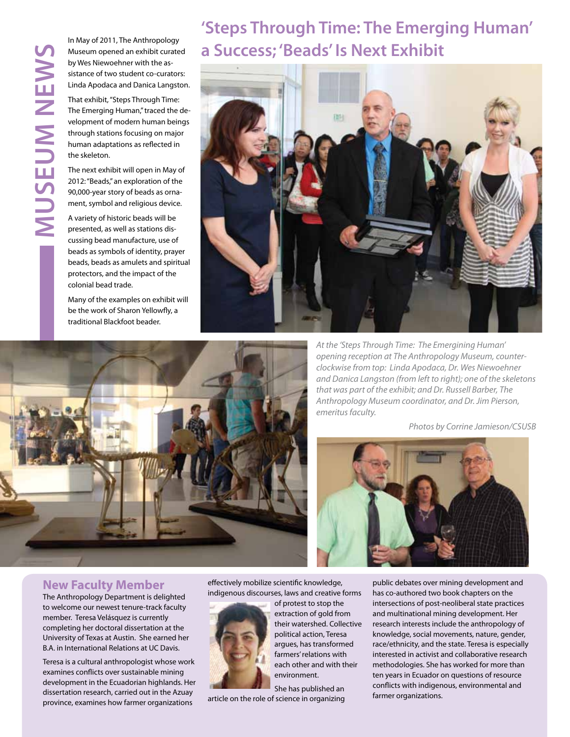In May of 2011, The Anthropology Museum opened an exhibit curated by Wes Niewoehner with the assistance of two student co-curators: Linda Apodaca and Danica Langston.

That exhibit, "Steps Through Time: The Emerging Human," traced the development of modern human beings through stations focusing on major human adaptations as reflected in the skeleton.

The next exhibit will open in May of 2012: "Beads," an exploration of the 90,000-year story of beads as ornament, symbol and religious device.

A variety of historic beads will be presented, as well as stations discussing bead manufacture, use of beads as symbols of identity, prayer beads, beads as amulets and spiritual protectors, and the impact of the colonial bead trade.

Many of the examples on exhibit will be the work of Sharon Yellowfly, a traditional Blackfoot beader.

### **'Steps Through Time: The Emerging Human' a Success; 'Beads' Is Next Exhibit**





*At the 'Steps Through Time: The Emergining Human' opening reception at The Anthropology Museum, counterclockwise from top: Linda Apodaca, Dr. Wes Niewoehner and Danica Langston (from left to right); one of the skeletons that was part of the exhibit; and Dr. Russell Barber, The Anthropology Museum coordinator, and Dr. Jim Pierson, emeritus faculty.*

*Photos by Corrine Jamieson/CSUSB*



### **New Faculty Member**

The Anthropology Department is delighted to welcome our newest tenure-track faculty member. Teresa Velásquez is currently completing her doctoral dissertation at the University of Texas at Austin. She earned her B.A. in International Relations at UC Davis.

Teresa is a cultural anthropologist whose work examines conflicts over sustainable mining development in the Ecuadorian highlands. Her dissertation research, carried out in the Azuay province, examines how farmer organizations

effectively mobilize scientific knowledge, indigenous discourses, laws and creative forms



of protest to stop the extraction of gold from their watershed. Collective political action, Teresa argues, has transformed farmers' relations with each other and with their environment.

She has published an article on the role of science in organizing public debates over mining development and has co-authored two book chapters on the intersections of post-neoliberal state practices and multinational mining development. Her research interests include the anthropology of knowledge, social movements, nature, gender, race/ethnicity, and the state. Teresa is especially interested in activist and collaborative research methodologies. She has worked for more than ten years in Ecuador on questions of resource conflicts with indigenous, environmental and farmer organizations.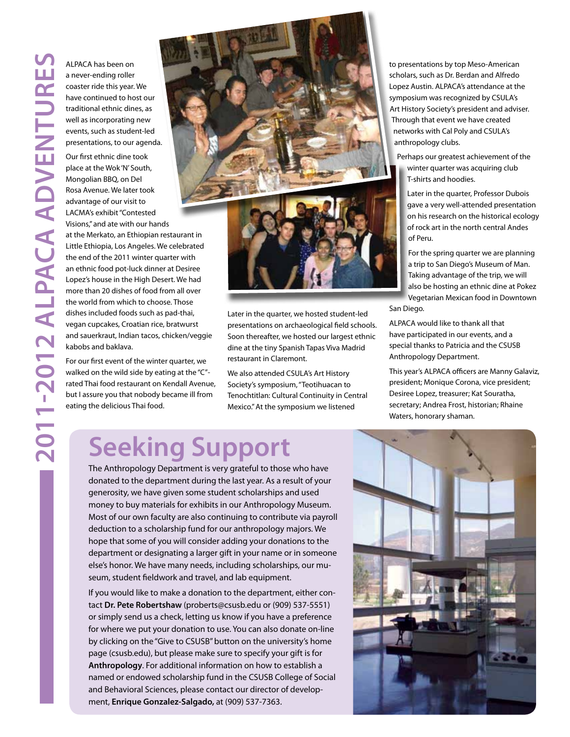**ventures**<br>ALPACA has been on<br>a never-ending roller<br>coaster ride this year.<br>have continued to ho<br>traditional ethnic din<br>well as incorporating<br>events, such as stude<br>presentations, to our<br>Our first ethnic dine t<br>place at the a never-ending roller coaster ride this year. We have continued to host our traditional ethnic dines, as well as incorporating new events, such as student-led presentations, to our agenda.

Our first ethnic dine took place at the Wok 'N' South, Mongolian BBQ, on Del Rosa Avenue. We later took advantage of our visit to LACMA's exhibit "Contested Visions," and ate with our hands

at the Merkato, an Ethiopian restaurant in Little Ethiopia, Los Angeles. We celebrated the end of the 2011 winter quarter with an ethnic food pot-luck dinner at Desiree Lopez's house in the High Desert. We had more than 20 dishes of food from all over the world from which to choose. Those dishes included foods such as pad-thai, vegan cupcakes, Croatian rice, bratwurst and sauerkraut, Indian tacos, chicken/veggie kabobs and baklava.

For our first event of the winter quarter, we walked on the wild side by eating at the "C" rated Thai food restaurant on Kendall Avenue, but I assure you that nobody became ill from eating the delicious Thai food.



Later in the quarter, we hosted student-led presentations on archaeological field schools. Soon thereafter, we hosted our largest ethnic dine at the tiny Spanish Tapas Viva Madrid restaurant in Claremont.

We also attended CSULA's Art History Society's symposium, "Teotihuacan to Tenochtitlan: Cultural Continuity in Central Mexico." At the symposium we listened

to presentations by top Meso-American scholars, such as Dr. Berdan and Alfredo Lopez Austin. ALPACA's attendance at the symposium was recognized by CSULA's Art History Society's president and adviser. Through that event we have created networks with Cal Poly and CSULA's anthropology clubs.

Perhaps our greatest achievement of the winter quarter was acquiring club T-shirts and hoodies.

Later in the quarter, Professor Dubois gave a very well-attended presentation on his research on the historical ecology of rock art in the north central Andes of Peru.

For the spring quarter we are planning a trip to San Diego's Museum of Man. Taking advantage of the trip, we will also be hosting an ethnic dine at Pokez Vegetarian Mexican food in Downtown

San Diego.

ALPACA would like to thank all that have participated in our events, and a special thanks to Patricia and the CSUSB Anthropology Department.

This year's ALPACA officers are Manny Galaviz, president; Monique Corona, vice president; Desiree Lopez, treasurer; Kat Souratha, secretary; Andrea Frost, historian; Rhaine Waters, honorary shaman.

## **Seeking Support**

The Anthropology Department is very grateful to those who have donated to the department during the last year. As a result of your generosity, we have given some student scholarships and used money to buy materials for exhibits in our Anthropology Museum. Most of our own faculty are also continuing to contribute via payroll deduction to a scholarship fund for our anthropology majors. We hope that some of you will consider adding your donations to the department or designating a larger gift in your name or in someone else's honor. We have many needs, including scholarships, our museum, student fieldwork and travel, and lab equipment.

If you would like to make a donation to the department, either contact **Dr. Pete Robertshaw** (proberts@csusb.edu or (909) 537-5551) or simply send us a check, letting us know if you have a preference for where we put your donation to use. You can also donate on-line by clicking on the "Give to CSUSB" button on the university's home page (csusb.edu), but please make sure to specify your gift is for **Anthropology**. For additional information on how to establish a named or endowed scholarship fund in the CSUSB College of Social and Behavioral Sciences, please contact our director of development, **Enrique Gonzalez-Salgado,** at (909) 537-7363.

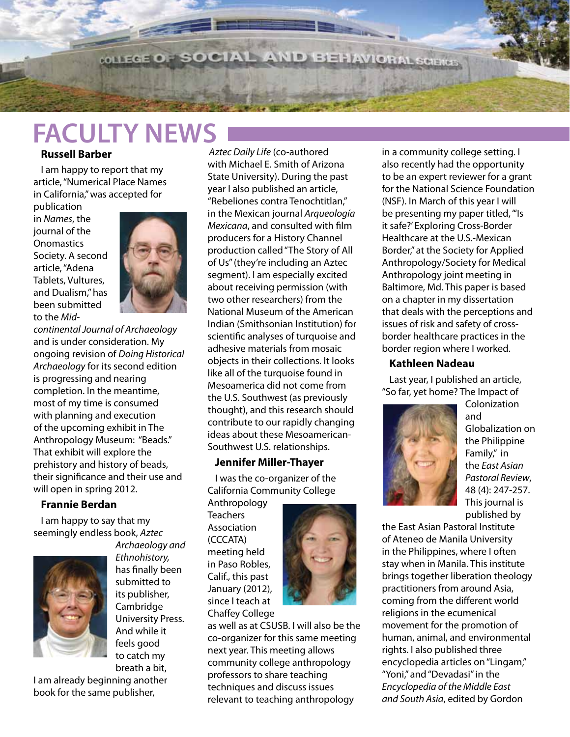**WILEGE OF SOCIAL AND BEHAVIORAL SCIENCES** 

### **FACULTY NEWS**

### **Russell Barber**

I am happy to report that my article, "Numerical Place Names in California," was accepted for

publication in *Names*, the journal of the **Onomastics** Society. A second article, "Adena Tablets, Vultures, and Dualism," has been submitted to the *Mid-*



- - - -

*continental Journal of Archaeology* and is under consideration. My ongoing revision of *Doing Historical Archaeology* for its second edition is progressing and nearing completion. In the meantime, most of my time is consumed with planning and execution of the upcoming exhibit in The Anthropology Museum: "Beads." That exhibit will explore the prehistory and history of beads, their significance and their use and will open in spring 2012.

### **Frannie Berdan**

I am happy to say that my seemingly endless book, *Aztec* 



*Archaeology and Ethnohistory,*  has finally been submitted to its publisher, Cambridge University Press. And while it feels good to catch my breath a bit,

I am already beginning another book for the same publisher,

*Aztec Daily Life* (co-authored with Michael E. Smith of Arizona State University). During the past year I also published an article, "Rebeliones contra Tenochtitlan," in the Mexican journal *Arqueología Mexicana*, and consulted with film producers for a History Channel production called "The Story of All of Us" (they're including an Aztec segment). I am especially excited about receiving permission (with two other researchers) from the National Museum of the American Indian (Smithsonian Institution) for scientific analyses of turquoise and adhesive materials from mosaic objects in their collections. It looks like all of the turquoise found in Mesoamerica did not come from the U.S. Southwest (as previously thought), and this research should contribute to our rapidly changing ideas about these Mesoamerican-Southwest U.S. relationships.

### **Jennifer Miller-Thayer**

I was the co-organizer of the California Community College

Anthropology **Teachers** Association (CCCATA) meeting held in Paso Robles, Calif., this past January (2012), since I teach at Chaffey College



as well as at CSUSB. I will also be the co-organizer for this same meeting next year. This meeting allows community college anthropology professors to share teaching techniques and discuss issues relevant to teaching anthropology

in a community college setting. I also recently had the opportunity to be an expert reviewer for a grant for the National Science Foundation (NSF). In March of this year I will be presenting my paper titled, "'Is it safe?' Exploring Cross-Border Healthcare at the U.S.-Mexican Border," at the Society for Applied Anthropology/Society for Medical Anthropology joint meeting in Baltimore, Md. This paper is based on a chapter in my dissertation that deals with the perceptions and issues of risk and safety of crossborder healthcare practices in the border region where I worked.

#### **Kathleen Nadeau**

Last year, I published an article, "So far, yet home? The Impact of



Colonization and Globalization on the Philippine Family," in the *East Asian Pastoral Review*, 48 (4): 247-257. This journal is published by

the East Asian Pastoral Institute of Ateneo de Manila University in the Philippines, where I often stay when in Manila. This institute brings together liberation theology practitioners from around Asia, coming from the different world religions in the ecumenical movement for the promotion of human, animal, and environmental rights. I also published three encyclopedia articles on "Lingam," "Yoni," and "Devadasi" in the *Encyclopedia of the Middle East and South Asia*, edited by Gordon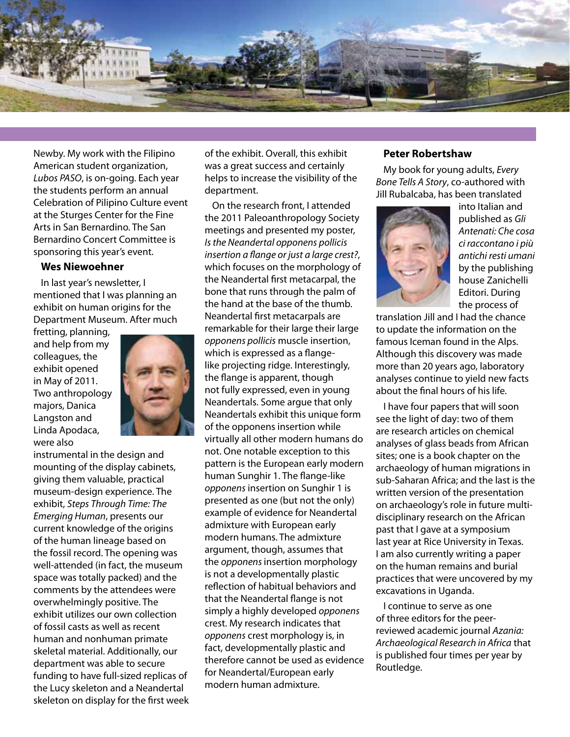

Newby. My work with the Filipino American student organization, *Lubos PASO*, is on-going. Each year the students perform an annual Celebration of Pilipino Culture event at the Sturges Center for the Fine Arts in San Bernardino. The San Bernardino Concert Committee is sponsoring this year's event.

#### **Wes Niewoehner**

In last year's newsletter, I mentioned that I was planning an exhibit on human origins for the Department Museum. After much

fretting, planning, and help from my colleagues, the exhibit opened in May of 2011. Two anthropology majors, Danica Langston and Linda Apodaca, were also



instrumental in the design and mounting of the display cabinets, giving them valuable, practical museum-design experience. The exhibit, *Steps Through Time: The Emerging Human*, presents our current knowledge of the origins of the human lineage based on the fossil record. The opening was well-attended (in fact, the museum space was totally packed) and the comments by the attendees were overwhelmingly positive. The exhibit utilizes our own collection of fossil casts as well as recent human and nonhuman primate skeletal material. Additionally, our department was able to secure funding to have full-sized replicas of the Lucy skeleton and a Neandertal skeleton on display for the first week

of the exhibit. Overall, this exhibit was a great success and certainly helps to increase the visibility of the department.

On the research front, I attended the 2011 Paleoanthropology Society meetings and presented my poster, *Is the Neandertal opponens pollicis insertion a flange or just a large crest?*, which focuses on the morphology of the Neandertal first metacarpal, the bone that runs through the palm of the hand at the base of the thumb. Neandertal first metacarpals are remarkable for their large their large *opponens pollicis* muscle insertion, which is expressed as a flangelike projecting ridge. Interestingly, the flange is apparent, though not fully expressed, even in young Neandertals. Some argue that only Neandertals exhibit this unique form of the opponens insertion while virtually all other modern humans do not. One notable exception to this pattern is the European early modern human Sunghir 1. The flange-like *opponens* insertion on Sunghir 1 is presented as one (but not the only) example of evidence for Neandertal admixture with European early modern humans. The admixture argument, though, assumes that the *opponens* insertion morphology is not a developmentally plastic reflection of habitual behaviors and that the Neandertal flange is not simply a highly developed *opponens* crest. My research indicates that *opponens* crest morphology is, in fact, developmentally plastic and therefore cannot be used as evidence for Neandertal/European early modern human admixture.

#### **Peter Robertshaw**

My book for young adults, *Every Bone Tells A Story*, co-authored with Jill Rubalcaba, has been translated



into Italian and published as *Gli Antenati: Che cosa ci raccontano i più antichi resti umani* by the publishing house Zanichelli Editori. During the process of

translation Jill and I had the chance to update the information on the famous Iceman found in the Alps. Although this discovery was made more than 20 years ago, laboratory analyses continue to yield new facts about the final hours of his life.

I have four papers that will soon see the light of day: two of them are research articles on chemical analyses of glass beads from African sites; one is a book chapter on the archaeology of human migrations in sub-Saharan Africa; and the last is the written version of the presentation on archaeology's role in future multidisciplinary research on the African past that I gave at a symposium last year at Rice University in Texas. I am also currently writing a paper on the human remains and burial practices that were uncovered by my excavations in Uganda.

I continue to serve as one of three editors for the peerreviewed academic journal *Azania: Archaeological Research in Africa* that is published four times per year by Routledge.